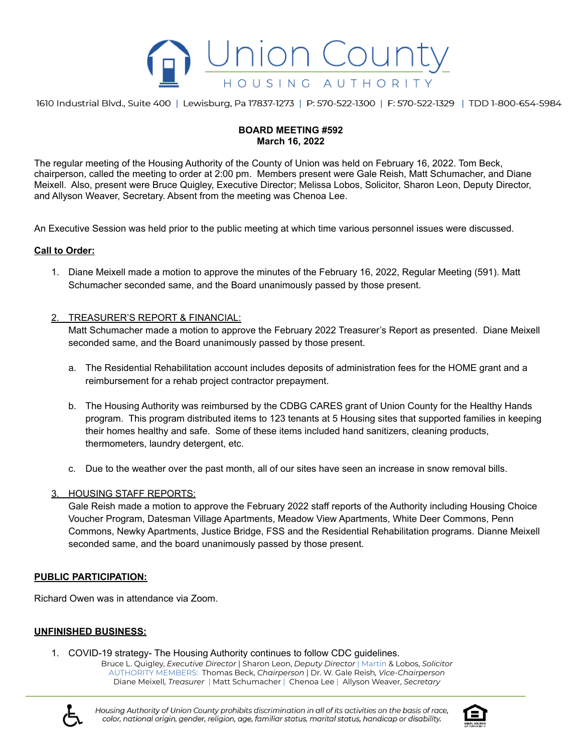

1610 Industrial Blvd., Suite 400 | Lewisburg, Pa 17837-1273 | P: 570-522-1300 | F: 570-522-1329 | TDD 1-800-654-5984

# **BOARD MEETING #592 March 16, 2022**

The regular meeting of the Housing Authority of the County of Union was held on February 16, 2022. Tom Beck, chairperson, called the meeting to order at 2:00 pm. Members present were Gale Reish, Matt Schumacher, and Diane Meixell. Also, present were Bruce Quigley, Executive Director; Melissa Lobos, Solicitor, Sharon Leon, Deputy Director, and Allyson Weaver, Secretary. Absent from the meeting was Chenoa Lee.

An Executive Session was held prior to the public meeting at which time various personnel issues were discussed.

#### **Call to Order:**

- 1. Diane Meixell made a motion to approve the minutes of the February 16, 2022, Regular Meeting (591). Matt Schumacher seconded same, and the Board unanimously passed by those present.
- 2. TREASURER'S REPORT & FINANCIAL:

Matt Schumacher made a motion to approve the February 2022 Treasurer's Report as presented. Diane Meixell seconded same, and the Board unanimously passed by those present.

- a. The Residential Rehabilitation account includes deposits of administration fees for the HOME grant and a reimbursement for a rehab project contractor prepayment.
- b. The Housing Authority was reimbursed by the CDBG CARES grant of Union County for the Healthy Hands program. This program distributed items to 123 tenants at 5 Housing sites that supported families in keeping their homes healthy and safe. Some of these items included hand sanitizers, cleaning products, thermometers, laundry detergent, etc.
- c. Due to the weather over the past month, all of our sites have seen an increase in snow removal bills.

#### 3. HOUSING STAFF REPORTS:

Gale Reish made a motion to approve the February 2022 staff reports of the Authority including Housing Choice Voucher Program, Datesman Village Apartments, Meadow View Apartments, White Deer Commons, Penn Commons, Newky Apartments, Justice Bridge, FSS and the Residential Rehabilitation programs. Dianne Meixell seconded same, and the board unanimously passed by those present.

# **PUBLIC PARTICIPATION:**

Richard Owen was in attendance via Zoom.

# **UNFINISHED BUSINESS:**

1. COVID-19 strategy- The Housing Authority continues to follow CDC guidelines.

Bruce L. Quigley, *Executive Director* | Sharon Leon, *Deputy Director* | Martin & Lobos, *Solicitor* AUTHORITY MEMBERS: Thomas Beck, *Chairperson* | Dr. W. Gale Reish*, Vice-Chairperson* Diane Meixell*, Treasurer* | Matt Schumacher | Chenoa Lee | Allyson Weaver, *Secretary*